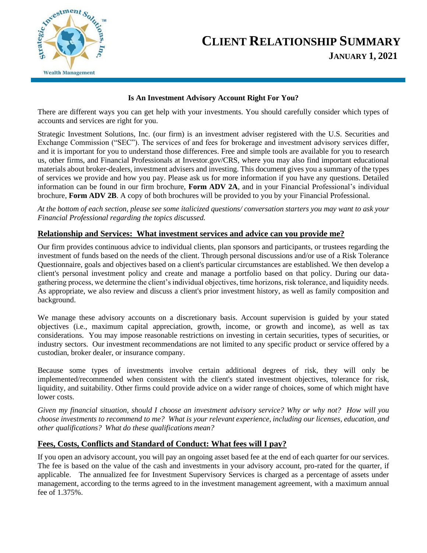

# **CLIENT RELATIONSHIP SUMMARY JANUARY 1, 2021**

### **Is An Investment Advisory Account Right For You?**

There are different ways you can get help with your investments. You should carefully consider which types of accounts and services are right for you.

Strategic Investment Solutions, Inc. (our firm) is an investment adviser registered with the U.S. Securities and Exchange Commission ("SEC"). The services of and fees for brokerage and investment advisory services differ, and it is important for you to understand those differences. Free and simple tools are available for you to research us, other firms, and Financial Professionals at Investor.gov/CRS, where you may also find important educational materials about broker-dealers, investment advisers and investing. This document gives you a summary of the types of services we provide and how you pay. Please ask us for more information if you have any questions. Detailed information can be found in our firm brochure, **Form ADV 2A**, and in your Financial Professional's individual brochure, **Form ADV 2B**. A copy of both brochures will be provided to you by your Financial Professional.

*At the bottom of each section, please see some italicized questions/ conversation starters you may want to ask your Financial Professional regarding the topics discussed.* 

# **Relationship and Services: What investment services and advice can you provide me?**

Our firm provides continuous advice to individual clients, plan sponsors and participants, or trustees regarding the investment of funds based on the needs of the client. Through personal discussions and/or use of a Risk Tolerance Questionnaire, goals and objectives based on a client's particular circumstances are established. We then develop a client's personal investment policy and create and manage a portfolio based on that policy. During our datagathering process, we determine the client's individual objectives, time horizons, risk tolerance, and liquidity needs. As appropriate, we also review and discuss a client's prior investment history, as well as family composition and background.

We manage these advisory accounts on a discretionary basis. Account supervision is guided by your stated objectives (i.e., maximum capital appreciation, growth, income, or growth and income), as well as tax considerations. You may impose reasonable restrictions on investing in certain securities, types of securities, or industry sectors. Our investment recommendations are not limited to any specific product or service offered by a custodian, broker dealer, or insurance company.

Because some types of investments involve certain additional degrees of risk, they will only be implemented/recommended when consistent with the client's stated investment objectives, tolerance for risk, liquidity, and suitability. Other firms could provide advice on a wider range of choices, some of which might have lower costs.

*Given my financial situation, should I choose an investment advisory service? Why or why not? How will you choose investments to recommend to me? What is your relevant experience, including our licenses, education, and other qualifications? What do these qualifications mean?*

#### **Fees, Costs, Conflicts and Standard of Conduct: What fees will I pay?**

If you open an advisory account, you will pay an ongoing asset based fee at the end of each quarter for our services. The fee is based on the value of the cash and investments in your advisory account, pro-rated for the quarter, if applicable. The annualized fee for Investment Supervisory Services is charged as a percentage of assets under management, according to the terms agreed to in the investment management agreement, with a maximum annual fee of 1.375%.